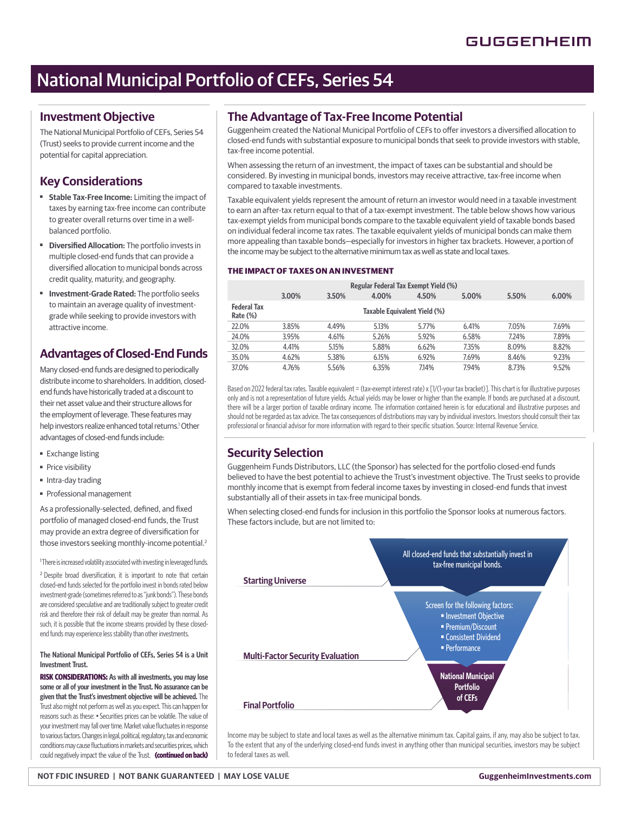## National Municipal Portfolio of CEFs, Series 54

### **Investment Objective**

The National Municipal Portfolio of CEFs, Series 54 (Trust) seeks to provide current income and the potential for capital appreciation.

### **Key Considerations**

- ■ **Stable Tax-Free Income:** Limiting the impact of taxes by earning tax-free income can contribute to greater overall returns over time in a wellbalanced portfolio.
- **Diversified Allocation:** The portfolio invests in multiple closed-end funds that can provide a diversified allocation to municipal bonds across credit quality, maturity, and geography.
- ■ **Investment-Grade Rated:** The portfolio seeks to maintain an average quality of investmentgrade while seeking to provide investors with attractive income.

### **Advantages of Closed-End Funds**

Many closed-end funds are designed to periodically distribute income to shareholders. In addition, closedend funds have historically traded at a discount to their net asset value and their structure allows for the employment of leverage. These features may help investors realize enhanced total returns.<sup>1</sup> Other advantages of closed-end funds include:

- Exchange listing
- Price visibility
- Intra-day trading
- Professional management

As a professionally-selected, defined, and fixed portfolio of managed closed-end funds, the Trust may provide an extra degree of diversification for those investors seeking monthly-income potential.<sup>2</sup>

<sup>1</sup>There is increased volatility associated with investing in leveraged funds.

<sup>2</sup> Despite broad diversification, it is important to note that certain closed-end funds selected for the portfolio invest in bonds rated below investment-grade (sometimes referred to as "junk bonds"). These bonds are considered speculative and are traditionally subject to greater credit risk and therefore their risk of default may be greater than normal. As such, it is possible that the income streams provided by these closedend funds may experience less stability than other investments.

#### **The National Municipal Portfolio of CEFs, Series 54 is a Unit Investment Trust.**

**RISK CONSIDERATIONS: As with all investments, you may lose some or all of your investment in the Trust. No assurance can be given that the Trust's investment objective will be achieved.** The Trust also might not perform as well as you expect. This can happen for reasons such as these: • Securities prices can be volatile. The value of your investment may fall over time. Market value fluctuates in response to various factors. Changes in legal, political, regulatory, tax and economic conditions may cause fluctuations in markets and securities prices, which could negatively impact the value of the Trust. **(continued on back)**

### **The Advantage of Tax-Free Income Potential**

Guggenheim created the National Municipal Portfolio of CEFs to offer investors a diversified allocation to closed-end funds with substantial exposure to municipal bonds that seek to provide investors with stable, tax-free income potential.

When assessing the return of an investment, the impact of taxes can be substantial and should be considered. By investing in municipal bonds, investors may receive attractive, tax-free income when compared to taxable investments.

Taxable equivalent yields represent the amount of return an investor would need in a taxable investment to earn an after-tax return equal to that of a tax-exempt investment. The table below shows how various tax-exempt yields from municipal bonds compare to the taxable equivalent yield of taxable bonds based on individual federal income tax rates. The taxable equivalent yields of municipal bonds can make them more appealing than taxable bonds—especially for investors in higher tax brackets. However, a portion of the income may be subject to the alternative minimum tax as well as state and local taxes.

### **THE IMPACT OF TAXES ON AN INVESTMENT**

|                                |       |       |       | Regular Federal Tax Exempt Yield (%) |       |       |       |
|--------------------------------|-------|-------|-------|--------------------------------------|-------|-------|-------|
|                                | 3.00% | 3.50% | 4.00% | 4.50%                                | 5.00% | 5.50% | 6.00% |
| <b>Federal Tax</b><br>Rate (%) |       |       |       | Taxable Equivalent Yield (%)         |       |       |       |
| 22.0%                          | 3.85% | 4.49% | 5.13% | 5.77%                                | 6.41% | 7.05% | 7.69% |
| 24.0%                          | 3.95% | 4.61% | 5.26% | 5.92%                                | 6.58% | 7.24% | 7.89% |
| 32.0%                          | 4.41% | 5.15% | 5.88% | 6.62%                                | 7.35% | 8.09% | 8.82% |
| 35.0%                          | 4.62% | 5.38% | 6.15% | 6.92%                                | 7.69% | 8.46% | 9.23% |
| 37.0%                          | 4.76% | 5.56% | 6.35% | 7.14%                                | 7.94% | 8.73% | 9.52% |

Based on 2022 federal tax rates. Taxable equivalent = (tax-exempt interest rate) x [1/(1-your tax bracket)]. This chart is for illustrative purposes only and is not a representation of future yields. Actual yields may be lower or higher than the example. If bonds are purchased at a discount, there will be a larger portion of taxable ordinary income. The information contained herein is for educational and illustrative purposes and should not be regarded as tax advice. The tax consequences of distributions may vary by individual investors. Investors should consult their tax professional or financial advisor for more information with regard to their specific situation. Source: Internal Revenue Service.

### **Security Selection**

Guggenheim Funds Distributors, LLC (the Sponsor) has selected for the portfolio closed-end funds believed to have the best potential to achieve the Trust's investment objective. The Trust seeks to provide monthly income that is exempt from federal income taxes by investing in closed-end funds that invest substantially all of their assets in tax-free municipal bonds.

When selecting closed-end funds for inclusion in this portfolio the Sponsor looks at numerous factors. These factors include, but are not limited to:



Income may be subject to state and local taxes as well as the alternative minimum tax. Capital gains, if any, may also be subject to tax. To the extent that any of the underlying closed-end funds invest in anything other than municipal securities, investors may be subject to federal taxes as well.

**NOT FDIC INSURED | NOT BANK GUARANTEED | MAY LOSE VALUE GuggenheimInvestments.com**